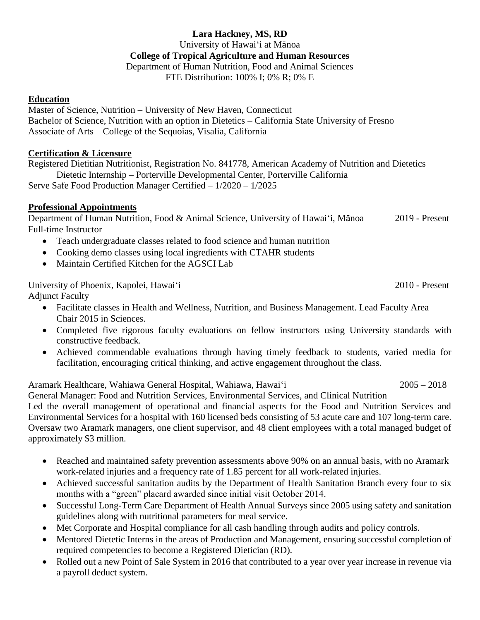# **Lara Hackney, MS, RD**

University of Hawai'i at Mānoa

#### **College of Tropical Agriculture and Human Resources**

Department of Human Nutrition, Food and Animal Sciences

FTE Distribution: 100% I; 0% R; 0% E

### **Education**

Master of Science, Nutrition – University of New Haven, Connecticut Bachelor of Science, Nutrition with an option in Dietetics – California State University of Fresno Associate of Arts – College of the Sequoias, Visalia, California

### **Certification & Licensure**

Registered Dietitian Nutritionist, Registration No. 841778, American Academy of Nutrition and Dietetics Dietetic Internship – Porterville Developmental Center, Porterville California Serve Safe Food Production Manager Certified – 1/2020 – 1/2025

## **Professional Appointments**

Department of Human Nutrition, Food & Animal Science, University of Hawai'i, Mānoa 2019 - Present Full-time Instructor

- Teach undergraduate classes related to food science and human nutrition
- Cooking demo classes using local ingredients with CTAHR students
- Maintain Certified Kitchen for the AGSCI Lab

University of Phoenix, Kapolei, Hawai'i 2010 - Present Adjunct Faculty

- Facilitate classes in Health and Wellness, Nutrition, and Business Management. Lead Faculty Area Chair 2015 in Sciences.
- Completed five rigorous faculty evaluations on fellow instructors using University standards with constructive feedback.
- Achieved commendable evaluations through having timely feedback to students, varied media for facilitation, encouraging critical thinking, and active engagement throughout the class.

Aramark Healthcare, Wahiawa General Hospital, Wahiawa, Hawai'i 2005 – 2018

General Manager: Food and Nutrition Services, Environmental Services, and Clinical Nutrition

Led the overall management of operational and financial aspects for the Food and Nutrition Services and Environmental Services for a hospital with 160 licensed beds consisting of 53 acute care and 107 long-term care. Oversaw two Aramark managers, one client supervisor, and 48 client employees with a total managed budget of approximately \$3 million.

- Reached and maintained safety prevention assessments above 90% on an annual basis, with no Aramark work-related injuries and a frequency rate of 1.85 percent for all work-related injuries.
- Achieved successful sanitation audits by the Department of Health Sanitation Branch every four to six months with a "green" placard awarded since initial visit October 2014.
- Successful Long-Term Care Department of Health Annual Surveys since 2005 using safety and sanitation guidelines along with nutritional parameters for meal service.
- Met Corporate and Hospital compliance for all cash handling through audits and policy controls.
- Mentored Dietetic Interns in the areas of Production and Management, ensuring successful completion of required competencies to become a Registered Dietician (RD).
- Rolled out a new Point of Sale System in 2016 that contributed to a year over year increase in revenue via a payroll deduct system.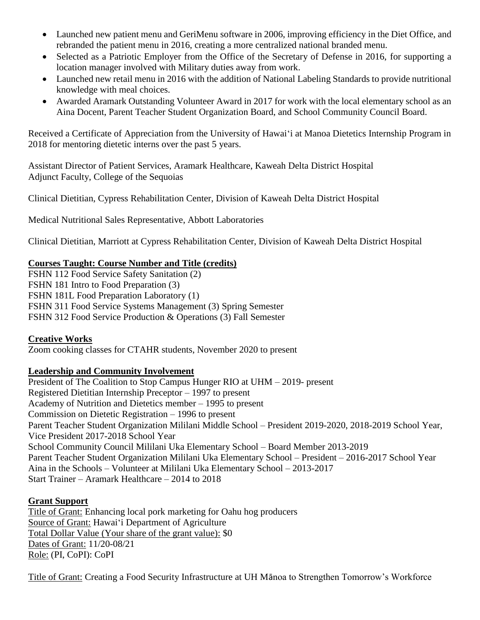- Launched new patient menu and GeriMenu software in 2006, improving efficiency in the Diet Office, and rebranded the patient menu in 2016, creating a more centralized national branded menu.
- Selected as a Patriotic Employer from the Office of the Secretary of Defense in 2016, for supporting a location manager involved with Military duties away from work.
- Launched new retail menu in 2016 with the addition of National Labeling Standards to provide nutritional knowledge with meal choices.
- Awarded Aramark Outstanding Volunteer Award in 2017 for work with the local elementary school as an Aina Docent, Parent Teacher Student Organization Board, and School Community Council Board.

Received a Certificate of Appreciation from the University of Hawai'i at Manoa Dietetics Internship Program in 2018 for mentoring dietetic interns over the past 5 years.

Assistant Director of Patient Services, Aramark Healthcare, Kaweah Delta District Hospital Adjunct Faculty, College of the Sequoias

Clinical Dietitian, Cypress Rehabilitation Center, Division of Kaweah Delta District Hospital

Medical Nutritional Sales Representative, Abbott Laboratories

Clinical Dietitian, Marriott at Cypress Rehabilitation Center, Division of Kaweah Delta District Hospital

### **Courses Taught: Course Number and Title (credits)**

FSHN 112 Food Service Safety Sanitation (2) FSHN 181 Intro to Food Preparation (3) FSHN 181L Food Preparation Laboratory (1) FSHN 311 Food Service Systems Management (3) Spring Semester FSHN 312 Food Service Production & Operations (3) Fall Semester

### **Creative Works**

Zoom cooking classes for CTAHR students, November 2020 to present

### **Leadership and Community Involvement**

President of The Coalition to Stop Campus Hunger RIO at UHM – 2019- present Registered Dietitian Internship Preceptor – 1997 to present Academy of Nutrition and Dietetics member – 1995 to present Commission on Dietetic Registration – 1996 to present Parent Teacher Student Organization Mililani Middle School – President 2019-2020, 2018-2019 School Year, Vice President 2017-2018 School Year School Community Council Mililani Uka Elementary School – Board Member 2013-2019 Parent Teacher Student Organization Mililani Uka Elementary School – President – 2016-2017 School Year Aina in the Schools – Volunteer at Mililani Uka Elementary School – 2013-2017 Start Trainer – Aramark Healthcare – 2014 to 2018

### **Grant Support**

Title of Grant: Enhancing local pork marketing for Oahu hog producers Source of Grant: Hawai'i Department of Agriculture Total Dollar Value (Your share of the grant value): \$0 Dates of Grant: 11/20-08/21 Role: (PI, CoPI): CoPI

Title of Grant: Creating a Food Security Infrastructure at UH Mānoa to Strengthen Tomorrow's Workforce